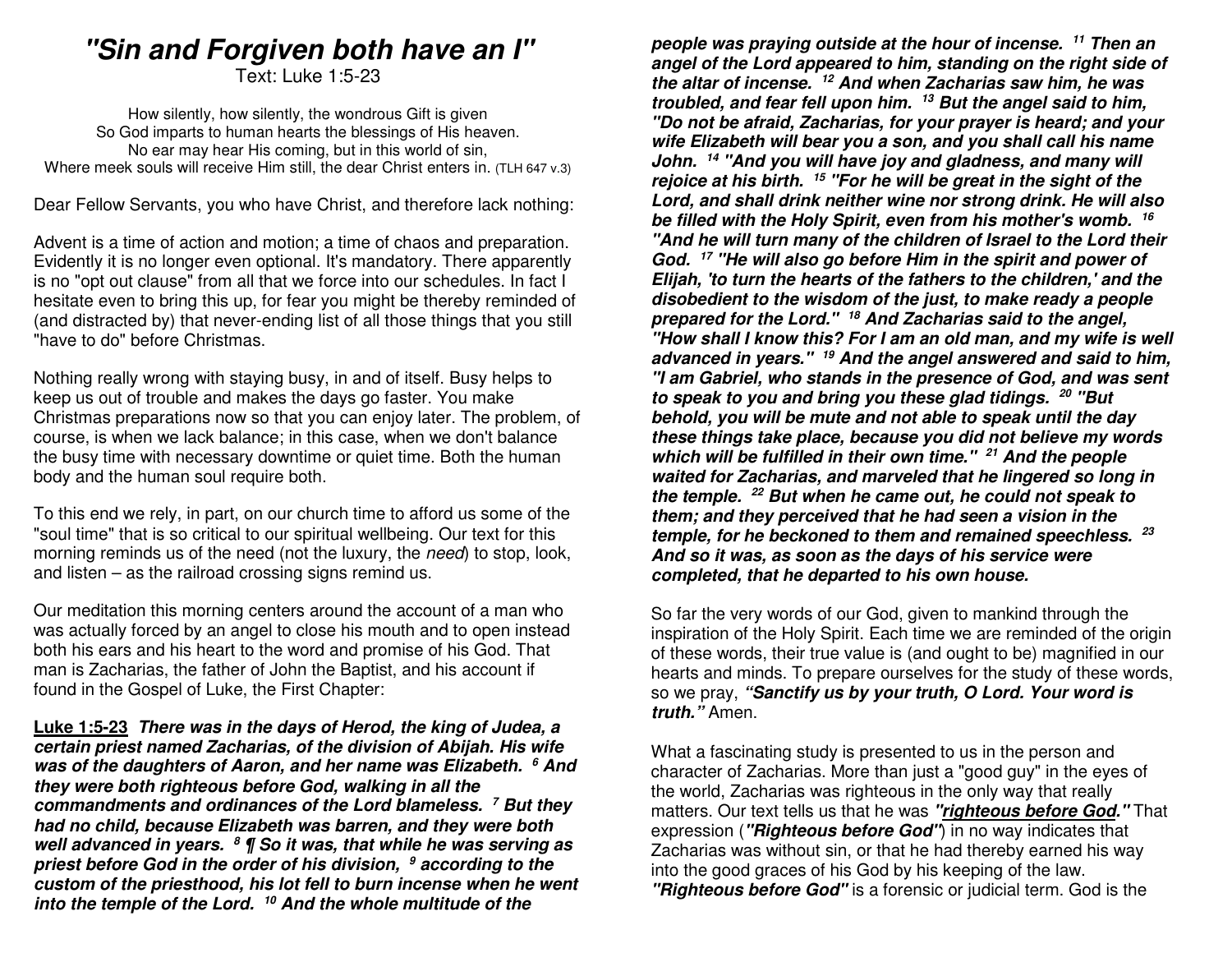# **"Sin and Forgiven both have an I"**

Text: Luke 1:5-23

How silently, how silently, the wondrous Gift is given So God imparts to human hearts the blessings of His heaven. No ear may hear His coming, but in this world of sin, Where meek souls will receive Him still, the dear Christ enters in. (TLH 647 v.3)

Dear Fellow Servants, you who have Christ, and therefore lack nothing:

Advent is a time of action and motion; a time of chaos and preparation. Evidently it is no longer even optional. It's mandatory. There apparently is no "opt out clause" from all that we force into our schedules. In fact I hesitate even to bring this up, for fear you might be thereby reminded of (and distracted by) that never-ending list of all those things that you still "have to do" before Christmas.

Nothing really wrong with staying busy, in and of itself. Busy helps to keep us out of trouble and makes the days go faster. You make Christmas preparations now so that you can enjoy later. The problem, of course, is when we lack balance; in this case, when we don't balance the busy time with necessary downtime or quiet time. Both the human body and the human soul require both.

To this end we rely, in part, on our church time to afford us some of the "soul time" that is so critical to our spiritual wellbeing. Our text for this morning reminds us of the need (not the luxury, the need) to stop, look, and listen – as the railroad crossing signs remind us.

Our meditation this morning centers around the account of a man who was actually forced by an angel to close his mouth and to open instead both his ears and his heart to the word and promise of his God. That man is Zacharias, the father of John the Baptist, and his account if found in the Gospel of Luke, the First Chapter:

**Luke 1:5-23 There was in the days of Herod, the king of Judea, a certain priest named Zacharias, of the division of Abijah. His wife was of the daughters of Aaron, and her name was Elizabeth. <sup>6</sup> And they were both righteous before God, walking in all the commandments and ordinances of the Lord blameless. <sup>7</sup> But they had no child, because Elizabeth was barren, and they were both well advanced in years. 8 ¶ So it was, that while he was serving as priest before God in the order of his division, 9 according to the custom of the priesthood, his lot fell to burn incense when he went into the temple of the Lord. <sup>10</sup> And the whole multitude of the** 

**people was praying outside at the hour of incense. <sup>11</sup> Then an angel of the Lord appeared to him, standing on the right side of the altar of incense. <sup>12</sup> And when Zacharias saw him, he was troubled, and fear fell upon him. 13 But the angel said to him, "Do not be afraid, Zacharias, for your prayer is heard; and your wife Elizabeth will bear you a son, and you shall call his name John. <sup>14</sup> "And you will have joy and gladness, and many will rejoice at his birth. <sup>15</sup> "For he will be great in the sight of the Lord, and shall drink neither wine nor strong drink. He will also be filled with the Holy Spirit, even from his mother's womb. <sup>16</sup> "And he will turn many of the children of Israel to the Lord their God. <sup>17</sup> "He will also go before Him in the spirit and power of Elijah, 'to turn the hearts of the fathers to the children,' and the disobedient to the wisdom of the just, to make ready a people prepared for the Lord." 18 And Zacharias said to the angel, "How shall I know this? For I am an old man, and my wife is well advanced in years." 19 And the angel answered and said to him, "I am Gabriel, who stands in the presence of God, and was sent to speak to you and bring you these glad tidings. <sup>20</sup> "But behold, you will be mute and not able to speak until the day these things take place, because you did not believe my words which will be fulfilled in their own time." <sup>21</sup> And the people waited for Zacharias, and marveled that he lingered so long in the temple. 22 But when he came out, he could not speak to them; and they perceived that he had seen a vision in the temple, for he beckoned to them and remained speechless. <sup>23</sup> And so it was, as soon as the days of his service were completed, that he departed to his own house.**

So far the very words of our God, given to mankind through the inspiration of the Holy Spirit. Each time we are reminded of the origin of these words, their true value is (and ought to be) magnified in our hearts and minds. To prepare ourselves for the study of these words, so we pray, **"Sanctify us by your truth, O Lord. Your word is truth."** Amen.

What a fascinating study is presented to us in the person and character of Zacharias. More than just a "good guy" in the eyes of the world, Zacharias was righteous in the only way that really matters. Our text tells us that he was **"righteous before God."** That expression (**"Righteous before God"**) in no way indicates that Zacharias was without sin, or that he had thereby earned his way into the good graces of his God by his keeping of the law. **"Righteous before God"** is a forensic or judicial term. God is the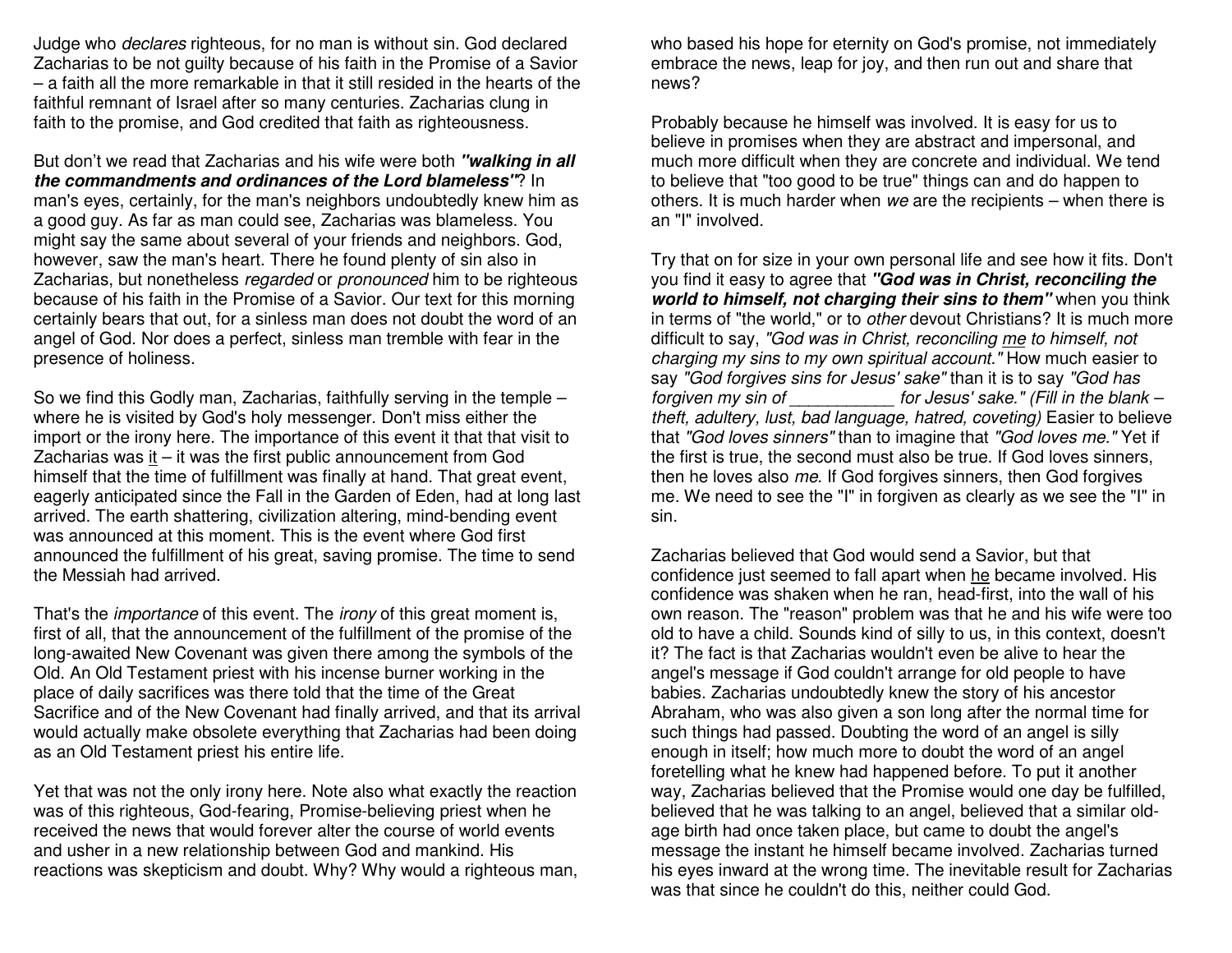Judge who declares righteous, for no man is without sin. God declared Zacharias to be not guilty because of his faith in the Promise of a Savior – a faith all the more remarkable in that it still resided in the hearts of the faithful remnant of Israel after so many centuries. Zacharias clung in faith to the promise, and God credited that faith as righteousness.

But don't we read that Zacharias and his wife were both **"walking in all the commandments and ordinances of the Lord blameless"**? In man's eyes, certainly, for the man's neighbors undoubtedly knew him as a good guy. As far as man could see, Zacharias was blameless. You might say the same about several of your friends and neighbors. God, however, saw the man's heart. There he found plenty of sin also in Zacharias, but nonetheless regarded or pronounced him to be righteous because of his faith in the Promise of a Savior. Our text for this morning certainly bears that out, for a sinless man does not doubt the word of an angel of God. Nor does a perfect, sinless man tremble with fear in the presence of holiness.

So we find this Godly man, Zacharias, faithfully serving in the temple – where he is visited by God's holy messenger. Don't miss either the import or the irony here. The importance of this event it that that visit to Zacharias was it – it was the first public announcement from God himself that the time of fulfillment was finally at hand. That great event, eagerly anticipated since the Fall in the Garden of Eden, had at long last arrived. The earth shattering, civilization altering, mind-bending event was announced at this moment. This is the event where God first announced the fulfillment of his great, saving promise. The time to send the Messiah had arrived.

That's the *importance* of this event. The *irony* of this great moment is, first of all, that the announcement of the fulfillment of the promise of the long-awaited New Covenant was given there among the symbols of the Old. An Old Testament priest with his incense burner working in the place of daily sacrifices was there told that the time of the Great Sacrifice and of the New Covenant had finally arrived, and that its arrival would actually make obsolete everything that Zacharias had been doing as an Old Testament priest his entire life.

Yet that was not the only irony here. Note also what exactly the reaction was of this righteous, God-fearing, Promise-believing priest when he received the news that would forever alter the course of world events and usher in a new relationship between God and mankind. His reactions was skepticism and doubt. Why? Why would a righteous man, who based his hope for eternity on God's promise, not immediately embrace the news, leap for joy, and then run out and share that news?

Probably because he himself was involved. It is easy for us to believe in promises when they are abstract and impersonal, and much more difficult when they are concrete and individual. We tend to believe that "too good to be true" things can and do happen to others. It is much harder when we are the recipients – when there is an "I" involved.

Try that on for size in your own personal life and see how it fits. Don't you find it easy to agree that **"God was in Christ, reconciling the world to himself, not charging their sins to them"** when you think in terms of "the world," or to *other* devout Christians? It is much more difficult to say, "God was in Christ, reconciling me to himself, not charging my sins to my own spiritual account." How much easier to say "God forgives sins for Jesus' sake" than it is to say "God has (Fill in the blank – forgiven my sin of theft, adultery, lust, bad language, hatred, coveting) Easier to believe that "God loves sinners" than to imagine that "God loves me." Yet if the first is true, the second must also be true. If God loves sinners, then he loves also me. If God forgives sinners, then God forgives me. We need to see the "I" in forgiven as clearly as we see the "I" in sin.

Zacharias believed that God would send a Savior, but that confidence just seemed to fall apart when he became involved. His confidence was shaken when he ran, head-first, into the wall of his own reason. The "reason" problem was that he and his wife were too old to have a child. Sounds kind of silly to us, in this context, doesn't it? The fact is that Zacharias wouldn't even be alive to hear the angel's message if God couldn't arrange for old people to have babies. Zacharias undoubtedly knew the story of his ancestor Abraham, who was also given a son long after the normal time for such things had passed. Doubting the word of an angel is silly enough in itself; how much more to doubt the word of an angel foretelling what he knew had happened before. To put it another way, Zacharias believed that the Promise would one day be fulfilled, believed that he was talking to an angel, believed that a similar oldage birth had once taken place, but came to doubt the angel's message the instant he himself became involved. Zacharias turned his eyes inward at the wrong time. The inevitable result for Zacharias was that since he couldn't do this, neither could God.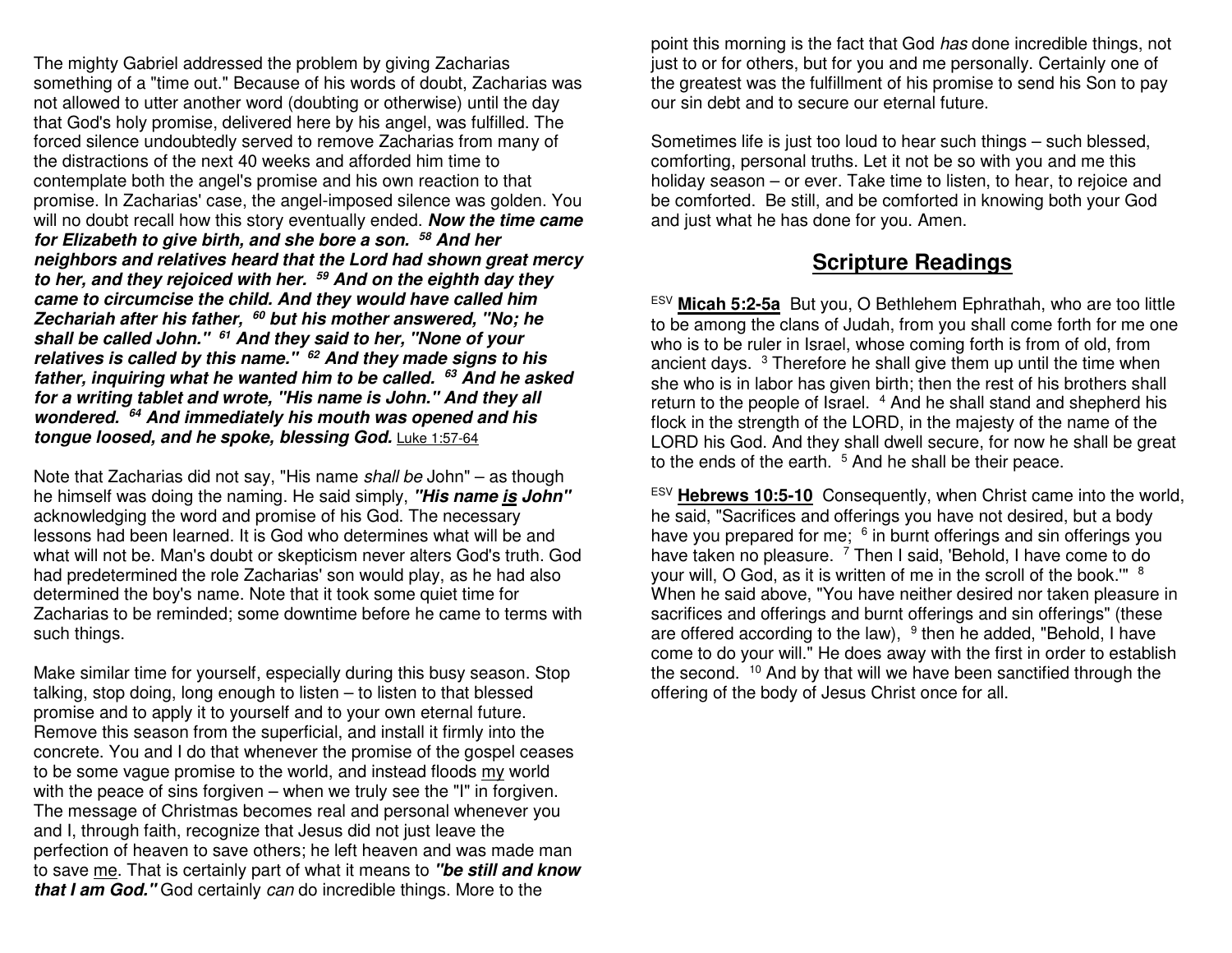The mighty Gabriel addressed the problem by giving Zacharias something of a "time out." Because of his words of doubt, Zacharias was not allowed to utter another word (doubting or otherwise) until the day that God's holy promise, delivered here by his angel, was fulfilled. The forced silence undoubtedly served to remove Zacharias from many of the distractions of the next 40 weeks and afforded him time to contemplate both the angel's promise and his own reaction to that promise. In Zacharias' case, the angel-imposed silence was golden. You will no doubt recall how this story eventually ended. **Now the time came for Elizabeth to give birth, and she bore a son. <sup>58</sup> And her neighbors and relatives heard that the Lord had shown great mercy to her, and they rejoiced with her. 59 And on the eighth day they came to circumcise the child. And they would have called him Zechariah after his father, 60 but his mother answered, "No; he shall be called John." <sup>61</sup> And they said to her, "None of your relatives is called by this name." 62 And they made signs to his father, inquiring what he wanted him to be called. <sup>63</sup> And he asked for a writing tablet and wrote, "His name is John." And they all wondered. <sup>64</sup> And immediately his mouth was opened and his tongue loosed, and he spoke, blessing God.** Luke 1:57-64

Note that Zacharias did not say, "His name shall be John" – as though he himself was doing the naming. He said simply, **"His name is John"**acknowledging the word and promise of his God. The necessary lessons had been learned. It is God who determines what will be and what will not be. Man's doubt or skepticism never alters God's truth. God had predetermined the role Zacharias' son would play, as he had also determined the boy's name. Note that it took some quiet time for Zacharias to be reminded; some downtime before he came to terms with such things.

Make similar time for yourself, especially during this busy season. Stop talking, stop doing, long enough to listen – to listen to that blessed promise and to apply it to yourself and to your own eternal future. Remove this season from the superficial, and install it firmly into the concrete. You and I do that whenever the promise of the gospel ceases to be some vague promise to the world, and instead floods my world with the peace of sins forgiven – when we truly see the "I" in forgiven. The message of Christmas becomes real and personal whenever you and I, through faith, recognize that Jesus did not just leave the perfection of heaven to save others; he left heaven and was made man to save me. That is certainly part of what it means to **"be still and know that I am God."** God certainly can do incredible things. More to the

point this morning is the fact that God has done incredible things, not just to or for others, but for you and me personally. Certainly one of the greatest was the fulfillment of his promise to send his Son to pay our sin debt and to secure our eternal future.

Sometimes life is just too loud to hear such things – such blessed, comforting, personal truths. Let it not be so with you and me this holiday season – or ever. Take time to listen, to hear, to rejoice and be comforted. Be still, and be comforted in knowing both your God and just what he has done for you. Amen.

# **Scripture Readings**

ESV **Micah 5:2-5a** But you, O Bethlehem Ephrathah, who are too little to be among the clans of Judah, from you shall come forth for me one who is to be ruler in Israel, whose coming forth is from of old, from ancient days.  $3$  Therefore he shall give them up until the time when she who is in labor has given birth; then the rest of his brothers shall return to the people of Israel. <sup>4</sup> And he shall stand and shepherd his flock in the strength of the LORD, in the majesty of the name of the LORD his God. And they shall dwell secure, for now he shall be great to the ends of the earth.  $5$  And he shall be their peace.

ESV **Hebrews 10:5-10** Consequently, when Christ came into the world, he said, "Sacrifices and offerings you have not desired, but a body have you prepared for me;  $6$  in burnt offerings and sin offerings you have taken no pleasure. <sup>7</sup> Then I said, 'Behold, I have come to do your will, O God, as it is written of me in the scroll of the book.""  $8$  When he said above, "You have neither desired nor taken pleasure in sacrifices and offerings and burnt offerings and sin offerings" (these are offered according to the law), <sup>9</sup> then he added, "Behold, I have come to do your will." He does away with the first in order to establish the second. <sup>10</sup> And by that will we have been sanctified through the offering of the body of Jesus Christ once for all.